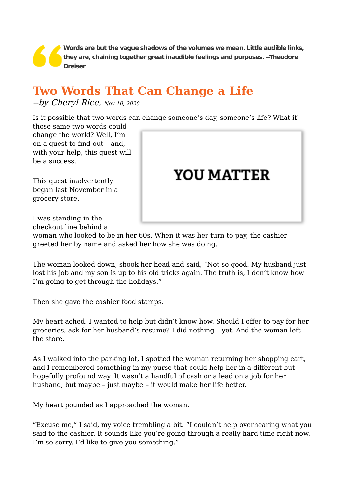**Words are but the vague shadows of the volumes we mean. Little audible links, they are, chaining together great inaudible feelings and purposes. --Theodore Dreiser**

## **Two Words That Can Change a Life**

 $-by$  [Cheryl Rice,](https://www.dailygood.org/search.php?op=auth&name=Cheryl%20Rice) Nov 10, 2020

Is it possible that two words can change someone's day, someone's life? What if

those same two words could change the world? Well, I'm on a quest to find out – and, with your help, this quest will be a success.

This quest inadvertently began last November in a grocery store.



I was standing in the checkout line behind a

woman who looked to be in her 60s. When it was her turn to pay, the cashier greeted her by name and asked her how she was doing.

The woman looked down, shook her head and said, "Not so good. My husband just lost his job and my son is up to his old tricks again. The truth is, I don't know how I'm going to get through the holidays."

Then she gave the cashier food stamps.

My heart ached. I wanted to help but didn't know how. Should I offer to pay for her groceries, ask for her husband's resume? I did nothing – yet. And the woman left the store.

As I walked into the parking lot, I spotted the woman returning her shopping cart, and I remembered something in my purse that could help her in a different but hopefully profound way. It wasn't a handful of cash or a lead on a job for her husband, but maybe – just maybe – it would make her life better.

My heart pounded as I approached the woman.

"Excuse me," I said, my voice trembling a bit. "I couldn't help overhearing what you said to the cashier. It sounds like you're going through a really hard time right now. I'm so sorry. I'd like to give you something."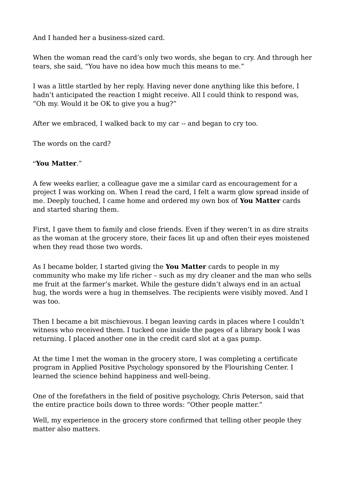And I handed her a business-sized card.

When the woman read the card's only two words, she began to cry. And through her tears, she said, "You have no idea how much this means to me."

I was a little startled by her reply. Having never done anything like this before, I hadn't anticipated the reaction I might receive. All I could think to respond was, "Oh my. Would it be OK to give you a hug?"

After we embraced, I walked back to my car -- and began to cry too.

The words on the card?

## "**You Matter**."

A few weeks earlier, a colleague gave me a similar card as encouragement for a project I was working on. When I read the card, I felt a warm glow spread inside of me. Deeply touched, I came home and ordered my own box of **You Matter** cards and started sharing them.

First, I gave them to family and close friends. Even if they weren't in as dire straits as the woman at the grocery store, their faces lit up and often their eyes moistened when they read those two words.

As I became bolder, I started giving the **You Matter** cards to people in my community who make my life richer – such as my dry cleaner and the man who sells me fruit at the farmer's market. While the gesture didn't always end in an actual hug, the words were a hug in themselves. The recipients were visibly moved. And I was too.

Then I became a bit mischievous. I began leaving cards in places where I couldn't witness who received them. I tucked one inside the pages of a library book I was returning. I placed another one in the credit card slot at a gas pump.

At the time I met the woman in the grocery store, I was completing a certificate program in Applied Positive Psychology sponsored by the Flourishing Center. I learned the science behind happiness and well-being.

One of the forefathers in the field of positive psychology, Chris Peterson, said that the entire practice boils down to three words: "Other people matter."

Well, my experience in the grocery store confirmed that telling other people they matter also matters.